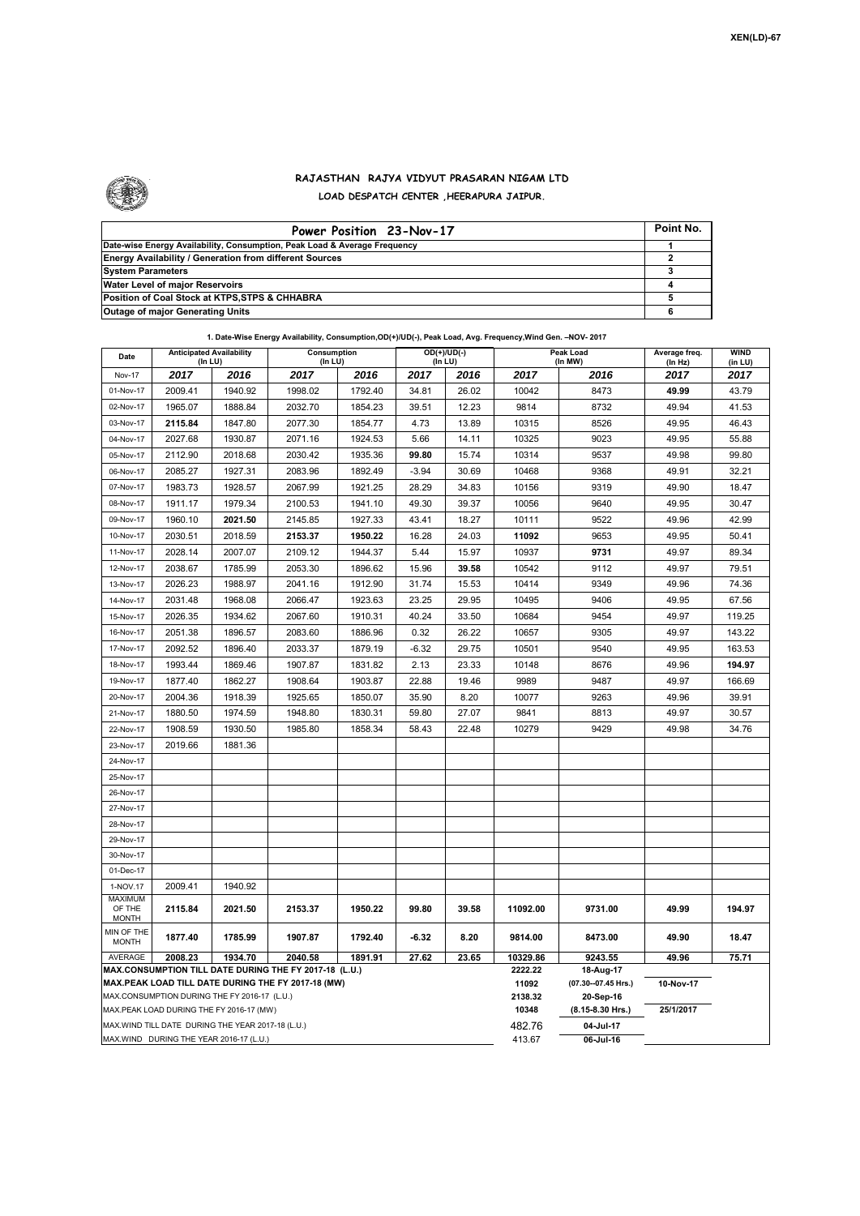

## **RAJASTHAN RAJYA VIDYUT PRASARAN NIGAM LTD LOAD DESPATCH CENTER ,HEERAPURA JAIPUR.**

| Power Position 23-Nov-17                                                  | Point No. |
|---------------------------------------------------------------------------|-----------|
| Date-wise Energy Availability, Consumption, Peak Load & Average Frequency |           |
| <b>Energy Availability / Generation from different Sources</b>            |           |
| <b>System Parameters</b>                                                  |           |
| Water Level of major Reservoirs                                           |           |
| Position of Coal Stock at KTPS, STPS & CHHABRA                            |           |
| <b>Outage of major Generating Units</b>                                   |           |

| 1. Date-Wise Energy Availability, Consumption, OD(+)/UD(-), Peak Load, Avg. Frequency, Wind Gen. - NOV- 2017<br><b>Anticipated Availability</b><br><b>WIND</b><br>Consumption<br>Peak Load |                                                    |         |         |         |                          |         |                     |                      |                          |         |
|--------------------------------------------------------------------------------------------------------------------------------------------------------------------------------------------|----------------------------------------------------|---------|---------|---------|--------------------------|---------|---------------------|----------------------|--------------------------|---------|
| Date                                                                                                                                                                                       | (In LU)                                            |         | (In LU) |         | $OD(+)/UD(-)$<br>(In LU) |         |                     | (In MW)              | Average freq.<br>(In Hz) | (in LU) |
| Nov-17                                                                                                                                                                                     | 2017                                               | 2016    | 2017    | 2016    | 2017                     | 2016    | 2017                | 2016                 | 2017                     | 2017    |
| 01-Nov-17                                                                                                                                                                                  | 2009.41                                            | 1940.92 | 1998.02 | 1792.40 | 34.81                    | 26.02   | 10042               | 8473                 | 49.99                    | 43.79   |
| 02-Nov-17                                                                                                                                                                                  | 1965.07                                            | 1888.84 | 2032.70 | 1854.23 | 39.51                    | 12.23   | 9814                | 8732                 | 49.94                    | 41.53   |
| 03-Nov-17                                                                                                                                                                                  | 2115.84                                            | 1847.80 | 2077.30 | 1854.77 | 4.73                     | 13.89   | 10315               | 8526                 | 49.95                    | 46.43   |
| 04-Nov-17                                                                                                                                                                                  | 2027.68                                            | 1930.87 | 2071.16 | 1924.53 | 5.66                     | 14.11   | 10325               | 9023                 | 49.95                    | 55.88   |
| 05-Nov-17                                                                                                                                                                                  | 2112.90                                            | 2018.68 | 2030.42 | 1935.36 | 99.80                    | 15.74   | 10314               | 9537                 | 49.98                    | 99.80   |
| 06-Nov-17                                                                                                                                                                                  | 2085.27                                            | 1927.31 | 2083.96 | 1892.49 | $-3.94$                  | 30.69   | 10468               | 9368                 | 49.91                    | 32.21   |
| 07-Nov-17                                                                                                                                                                                  | 1983.73                                            | 1928.57 | 2067.99 | 1921.25 | 28.29                    | 34.83   | 10156               | 9319                 | 49.90                    | 18.47   |
| 08-Nov-17                                                                                                                                                                                  | 1911.17                                            | 1979.34 | 2100.53 | 1941.10 | 49.30                    | 39.37   | 10056               | 9640                 | 49.95                    | 30.47   |
| 09-Nov-17                                                                                                                                                                                  | 1960.10                                            | 2021.50 | 2145.85 | 1927.33 | 43.41                    | 18.27   | 10111               | 9522                 | 49.96                    | 42.99   |
| 10-Nov-17                                                                                                                                                                                  | 2030.51                                            | 2018.59 | 2153.37 | 1950.22 | 16.28                    | 24.03   | 11092               | 9653                 | 49.95                    | 50.41   |
| 11-Nov-17                                                                                                                                                                                  | 2028.14                                            | 2007.07 | 2109.12 | 1944.37 | 5.44                     | 15.97   | 10937               | 9731                 | 49.97                    | 89.34   |
| 12-Nov-17                                                                                                                                                                                  | 2038.67                                            | 1785.99 | 2053.30 | 1896.62 | 15.96                    | 39.58   | 10542               | 9112                 | 49.97                    | 79.51   |
| 13-Nov-17                                                                                                                                                                                  | 2026.23                                            | 1988.97 | 2041.16 | 1912.90 | 31.74                    | 15.53   | 10414               | 9349                 | 49.96                    | 74.36   |
| 14-Nov-17                                                                                                                                                                                  | 2031.48                                            | 1968.08 | 2066.47 | 1923.63 | 23.25                    | 29.95   | 10495               | 9406                 | 49.95                    | 67.56   |
| 15-Nov-17                                                                                                                                                                                  | 2026.35                                            | 1934.62 | 2067.60 | 1910.31 | 40.24                    | 33.50   | 10684               | 9454                 | 49.97                    | 119.25  |
| 16-Nov-17                                                                                                                                                                                  | 2051.38                                            | 1896.57 | 2083.60 | 1886.96 | 0.32                     | 26.22   | 10657               | 9305                 | 49.97                    | 143.22  |
| 17-Nov-17                                                                                                                                                                                  | 2092.52                                            | 1896.40 | 2033.37 | 1879.19 | -6.32                    | 29.75   | 10501               | 9540                 | 49.95                    | 163.53  |
| 18-Nov-17                                                                                                                                                                                  | 1993.44                                            | 1869.46 | 1907.87 | 1831.82 | 2.13                     | 23.33   | 10148               | 8676                 | 49.96                    | 194.97  |
| 19-Nov-17                                                                                                                                                                                  | 1877.40                                            | 1862.27 | 1908.64 | 1903.87 | 22.88                    | 19.46   | 9989                | 9487                 | 49.97                    | 166.69  |
| 20-Nov-17                                                                                                                                                                                  | 2004.36                                            | 1918.39 | 1925.65 | 1850.07 | 35.90                    | 8.20    | 10077               | 9263                 | 49.96                    | 39.91   |
| 21-Nov-17                                                                                                                                                                                  | 1880.50                                            | 1974.59 | 1948.80 | 1830.31 | 59.80                    | 27.07   | 9841                | 8813                 | 49.97                    | 30.57   |
| 22-Nov-17                                                                                                                                                                                  | 1908.59                                            | 1930.50 | 1985.80 | 1858.34 | 58.43                    | 22.48   | 10279               | 9429                 | 49.98                    | 34.76   |
| 23-Nov-17                                                                                                                                                                                  | 2019.66                                            | 1881.36 |         |         |                          |         |                     |                      |                          |         |
| 24-Nov-17                                                                                                                                                                                  |                                                    |         |         |         |                          |         |                     |                      |                          |         |
| 25-Nov-17                                                                                                                                                                                  |                                                    |         |         |         |                          |         |                     |                      |                          |         |
| 26-Nov-17                                                                                                                                                                                  |                                                    |         |         |         |                          |         |                     |                      |                          |         |
| 27-Nov-17                                                                                                                                                                                  |                                                    |         |         |         |                          |         |                     |                      |                          |         |
| 28-Nov-17                                                                                                                                                                                  |                                                    |         |         |         |                          |         |                     |                      |                          |         |
| 29-Nov-17                                                                                                                                                                                  |                                                    |         |         |         |                          |         |                     |                      |                          |         |
| 30-Nov-17                                                                                                                                                                                  |                                                    |         |         |         |                          |         |                     |                      |                          |         |
| 01-Dec-17                                                                                                                                                                                  |                                                    |         |         |         |                          |         |                     |                      |                          |         |
| 1-NOV.17                                                                                                                                                                                   | 2009.41                                            | 1940.92 |         |         |                          |         |                     |                      |                          |         |
| <b>MAXIMUM</b><br>OF THE<br><b>MONTH</b>                                                                                                                                                   | 2115.84                                            | 2021.50 | 2153.37 | 1950.22 | 99.80                    | 39.58   | 11092.00            | 9731.00              | 49.99                    | 194.97  |
| MIN OF THE                                                                                                                                                                                 |                                                    |         |         |         |                          |         |                     |                      |                          |         |
| <b>MONTH</b>                                                                                                                                                                               | 1877.40                                            | 1785.99 | 1907.87 | 1792.40 | -6.32                    | 8.20    | 9814.00             | 8473.00              | 49.90                    | 18.47   |
| <b>AVERAGE</b>                                                                                                                                                                             | 2008.23                                            | 1934.70 | 2040.58 | 1891.91 | 27.62                    | 23.65   | 10329.86<br>2222.22 | 9243.55<br>18-Aug-17 | 49.96                    | 75.71   |
| MAX.CONSUMPTION TILL DATE DURING THE FY 2017-18 (L.U.)<br>MAX.PEAK LOAD TILL DATE DURING THE FY 2017-18 (MW)                                                                               |                                                    |         |         |         |                          | 11092   | (07.30--07.45 Hrs.) | 10-Nov-17            |                          |         |
| MAX.CONSUMPTION DURING THE FY 2016-17 (L.U.)                                                                                                                                               |                                                    |         |         |         |                          | 2138.32 | 20-Sep-16           |                      |                          |         |
| MAX.PEAK LOAD DURING THE FY 2016-17 (MW)                                                                                                                                                   |                                                    |         |         |         |                          | 10348   | $(8.15.8.30$ Hrs.)  | 25/1/2017            |                          |         |
|                                                                                                                                                                                            | MAX. WIND TILL DATE DURING THE YEAR 2017-18 (L.U.) |         |         |         |                          |         | 482.76              | 04-Jul-17            |                          |         |
|                                                                                                                                                                                            | MAX.WIND DURING THE YEAR 2016-17 (L.U.)            |         |         |         |                          |         | 413.67              | 06-Jul-16            |                          |         |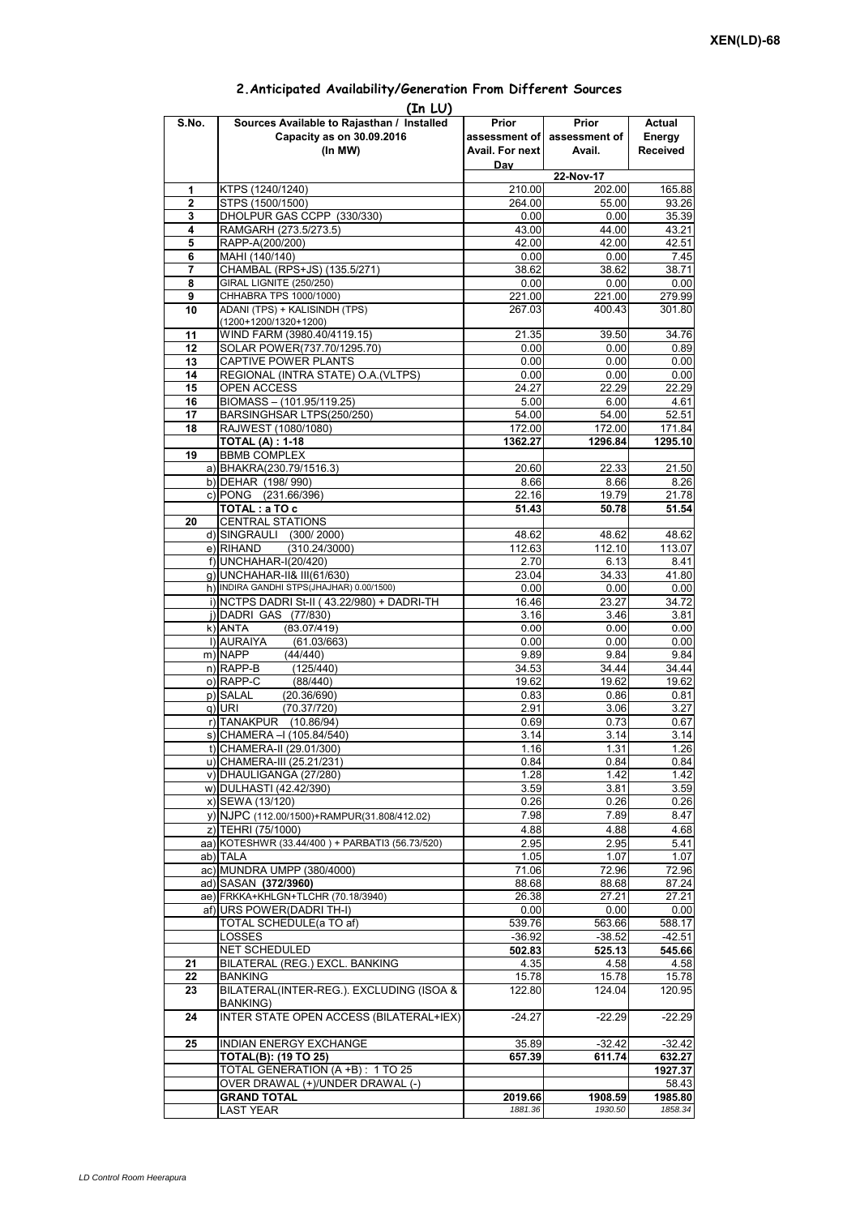| (In LU)        |                                                      |                 |                             |                 |  |  |  |  |  |
|----------------|------------------------------------------------------|-----------------|-----------------------------|-----------------|--|--|--|--|--|
| S.No.          | Sources Available to Rajasthan / Installed           | Prior           | Prior                       | Actual          |  |  |  |  |  |
|                | Capacity as on 30.09.2016                            |                 | assessment of assessment of | Energy          |  |  |  |  |  |
|                | (In MW)                                              | Avail. For next | Avail.                      | <b>Received</b> |  |  |  |  |  |
|                |                                                      | Day             |                             |                 |  |  |  |  |  |
|                |                                                      |                 | 22-Nov-17                   |                 |  |  |  |  |  |
| 1              | KTPS (1240/1240)                                     | 210.00          | 202.00                      | 165.88          |  |  |  |  |  |
| $\overline{2}$ | STPS (1500/1500)                                     | 264.00          | 55.00                       | 93.26           |  |  |  |  |  |
| 3              | DHOLPUR GAS CCPP (330/330)                           | 0.00            | 0.00                        | 35.39           |  |  |  |  |  |
| 4              | RAMGARH (273.5/273.5)                                | 43.00           | 44.00                       | 43.21           |  |  |  |  |  |
| 5              | RAPP-A(200/200)                                      | 42.00           | 42.00                       | 42.51           |  |  |  |  |  |
| 6              | MAHI (140/140)                                       | 0.00            | 0.00                        | 7.45            |  |  |  |  |  |
| 7              | CHAMBAL (RPS+JS) (135.5/271)                         | 38.62           | 38.62                       | 38.71           |  |  |  |  |  |
| 8              | <b>GIRAL LIGNITE (250/250)</b>                       | 0.00            | 0.00                        | 0.00            |  |  |  |  |  |
| 9              | CHHABRA TPS 1000/1000)                               | 221.00          | 221.00                      | 279.99          |  |  |  |  |  |
| 10             | ADANI (TPS) + KALISINDH (TPS)                        | 267.03          | 400.43                      | 301.80          |  |  |  |  |  |
| 11             | (1200+1200/1320+1200)<br>WIND FARM (3980.40/4119.15) | 21.35           | 39.50                       | 34.76           |  |  |  |  |  |
| 12             | SOLAR POWER(737.70/1295.70)                          | 0.00            | 0.00                        | 0.89            |  |  |  |  |  |
| 13             | CAPTIVE POWER PLANTS                                 | 0.00            | 0.00                        | 0.00            |  |  |  |  |  |
| 14             | REGIONAL (INTRA STATE) O.A. (VLTPS)                  | 0.00            | 0.00                        | 0.00            |  |  |  |  |  |
| 15             | OPEN ACCESS                                          | 24.27           | 22.29                       | 22.29           |  |  |  |  |  |
| 16             | BIOMASS - (101.95/119.25)                            | 5.00            | 6.00                        | 4.61            |  |  |  |  |  |
| 17             | BARSINGHSAR LTPS(250/250)                            | 54.00           | 54.00                       | 52.51           |  |  |  |  |  |
| 18             | RAJWEST (1080/1080)                                  | 172.00          | 172.00                      | 171.84          |  |  |  |  |  |
|                | <b>TOTAL (A): 1-18</b>                               | 1362.27         | 1296.84                     | 1295.10         |  |  |  |  |  |
| 19             | <b>BBMB COMPLEX</b>                                  |                 |                             |                 |  |  |  |  |  |
|                | a) BHAKRA(230.79/1516.3)                             | 20.60           | 22.33                       | 21.50           |  |  |  |  |  |
|                | b) DEHAR (198/990)                                   | 8.66            | 8.66                        | 8.26            |  |  |  |  |  |
|                | c) PONG (231.66/396)                                 | 22.16           | 19.79                       | 21.78           |  |  |  |  |  |
|                | TOTAL: a TO c                                        | 51.43           | 50.78                       | 51.54           |  |  |  |  |  |
| 20             | <b>CENTRAL STATIONS</b>                              |                 |                             |                 |  |  |  |  |  |
|                | d) SINGRAULI (300/2000)                              | 48.62           | 48.62                       | 48.62           |  |  |  |  |  |
|                | e) RIHAND<br>(310.24/3000)                           | 112.63          | 112.10                      | 113.07          |  |  |  |  |  |
|                | f) UNCHAHAR-I(20/420)                                | 2.70            | 6.13                        | 8.41            |  |  |  |  |  |
|                | g) UNCHAHAR-II& III(61/630)                          | 23.04           | 34.33                       | 41.80           |  |  |  |  |  |
|                | h) INDIRA GANDHI STPS(JHAJHAR) 0.00/1500)            | 0.00            | 0.00                        | 0.00            |  |  |  |  |  |
|                | i) NCTPS DADRI St-II (43.22/980) + DADRI-TH          | 16.46           | 23.27                       | 34.72           |  |  |  |  |  |
|                | j) DADRI GAS (77/830)                                | 3.16            | 3.46                        | 3.81            |  |  |  |  |  |
|                | $k)$ ANTA<br>(83.07/419)                             | 0.00            | 0.00                        | 0.00            |  |  |  |  |  |
|                | I) AURAIYA<br>(61.03/663)                            | 0.00            | 0.00                        | 0.00            |  |  |  |  |  |
|                | m) NAPP<br>(44/440)                                  | 9.89            | 9.84                        | 9.84            |  |  |  |  |  |
|                | n) RAPP-B<br>(125/440)                               | 34.53           | 34.44                       | 34.44           |  |  |  |  |  |
|                | o) RAPP-C<br>(88/440)                                | 19.62           | 19.62                       | 19.62           |  |  |  |  |  |
|                | p) SALAL<br>(20.36/690)                              | 0.83            | 0.86                        | 0.81            |  |  |  |  |  |
|                | q) URI<br>(70.37/720)                                | 2.91            | 3.06                        | 3.27            |  |  |  |  |  |
|                | r) TANAKPUR (10.86/94)                               | 0.69            | 0.73                        | 0.67            |  |  |  |  |  |
|                | s) CHAMERA - (105.84/540)                            | 3.14            | 3.14                        | 3.14            |  |  |  |  |  |
|                | t) CHAMERA-II (29.01/300)                            | 1.16            | 1.31                        | 1.26            |  |  |  |  |  |
|                | u) CHAMERA-III (25.21/231)                           | 0.84            | 0.84                        | 0.84            |  |  |  |  |  |
|                | v) DHAULIGANGA (27/280)                              | 1.28            | 1.42                        | 1.42            |  |  |  |  |  |
|                | w) DULHASTI (42.42/390)                              | 3.59            | 3.81                        | 3.59            |  |  |  |  |  |
|                | x) SEWA (13/120)                                     | 0.26            | 0.26                        | 0.26            |  |  |  |  |  |
|                | y) NJPC (112.00/1500) + RAMPUR(31.808/412.02)        | 7.98            | 7.89                        | 8.47            |  |  |  |  |  |
|                | z) TEHRI (75/1000)                                   | 4.88            | 4.88                        | 4.68            |  |  |  |  |  |
|                | aa) KOTESHWR (33.44/400) + PARBATI3 (56.73/520)      | 2.95            | 2.95                        | 5.41            |  |  |  |  |  |
|                | ab) TALA                                             | 1.05            | 1.07                        | 1.07            |  |  |  |  |  |
|                | ac) MUNDRA UMPP (380/4000)                           | 71.06           | 72.96                       | 72.96           |  |  |  |  |  |
|                | ad) SASAN (372/3960)                                 | 88.68           | 88.68                       | 87.24           |  |  |  |  |  |
|                | ae) FRKKA+KHLGN+TLCHR (70.18/3940)                   | 26.38           | 27.21                       | 27.21           |  |  |  |  |  |
|                | af) URS POWER(DADRI TH-I)                            | 0.00            | 0.00                        | 0.00            |  |  |  |  |  |
|                | TOTAL SCHEDULE(a TO af)                              | 539.76          | 563.66                      | 588.17          |  |  |  |  |  |
|                | LOSSES                                               | $-36.92$        | $-38.52$                    | $-42.51$        |  |  |  |  |  |
|                | NET SCHEDULED                                        | 502.83          | 525.13                      | 545.66          |  |  |  |  |  |
| 21             | BILATERAL (REG.) EXCL. BANKING                       | 4.35            | 4.58                        | 4.58            |  |  |  |  |  |
| 22             | <b>BANKING</b>                                       | 15.78           | 15.78                       | 15.78           |  |  |  |  |  |
| 23             | BILATERAL(INTER-REG.). EXCLUDING (ISOA &             | 122.80          | 124.04                      | 120.95          |  |  |  |  |  |
|                | BANKING)                                             |                 |                             |                 |  |  |  |  |  |
| 24             | INTER STATE OPEN ACCESS (BILATERAL+IEX)              | $-24.27$        | $-22.29$                    | $-22.29$        |  |  |  |  |  |
|                |                                                      |                 |                             |                 |  |  |  |  |  |
| 25             | INDIAN ENERGY EXCHANGE                               | 35.89           | $-32.42$                    | $-32.42$        |  |  |  |  |  |
|                | TOTAL(B): (19 TO 25)                                 | 657.39          | 611.74                      | 632.27          |  |  |  |  |  |
|                | TOTAL GENERATION (A +B) : 1 TO 25                    |                 |                             | 1927.37         |  |  |  |  |  |
|                | OVER DRAWAL (+)/UNDER DRAWAL (-)                     |                 |                             | 58.43           |  |  |  |  |  |
|                | <b>GRAND TOTAL</b>                                   | 2019.66         | 1908.59                     | 1985.80         |  |  |  |  |  |
|                | <b>LAST YEAR</b>                                     | 1881.36         | 1930.50                     | 1858.34         |  |  |  |  |  |

## **2.Anticipated Availability/Generation From Different Sources**